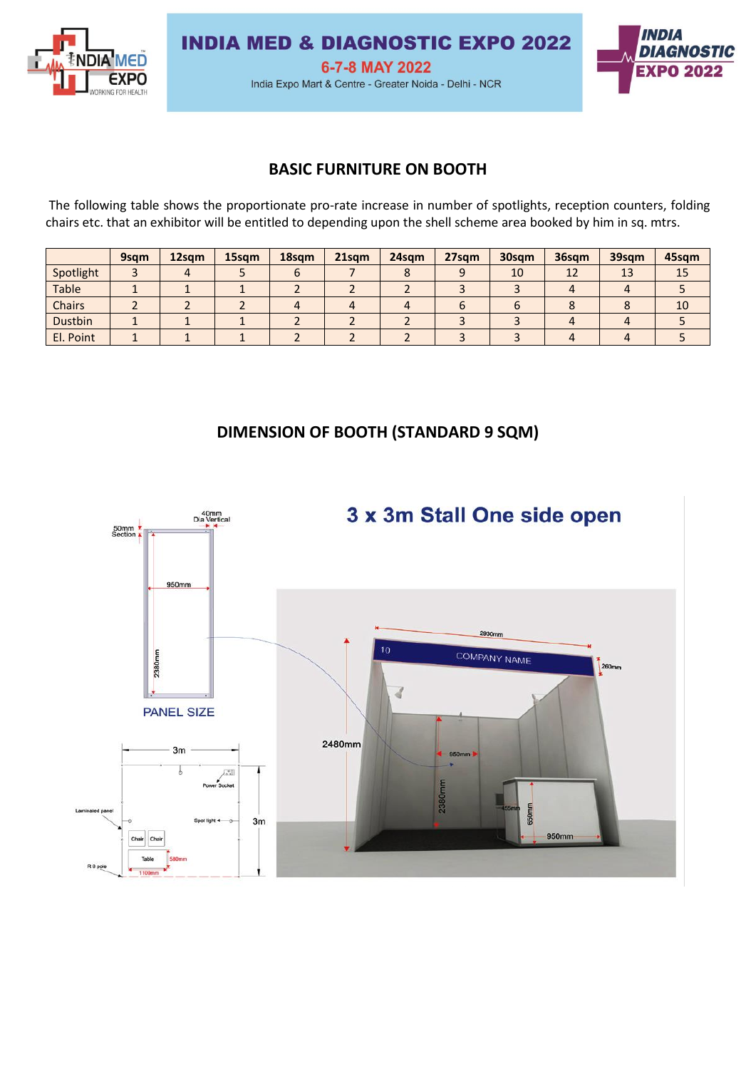

**INDIA MED & DIAGNOSTIC EXPO 2022** 

6-7-8 MAY 2022

India Expo Mart & Centre - Greater Noida - Delhi - NCR



#### **BASIC FURNITURE ON BOOTH**

The following table shows the proportionate pro-rate increase in number of spotlights, reception counters, folding chairs etc. that an exhibitor will be entitled to depending upon the shell scheme area booked by him in sq. mtrs.

|           | 9sqm | 12sqm | 15sqm | 18sqm | $21$ sqm | 24sqm | 27sqm | 30sqm | 36sqm | 39sqm | 45sqm |
|-----------|------|-------|-------|-------|----------|-------|-------|-------|-------|-------|-------|
| Spotlight |      |       |       |       |          |       |       | 10    | 12    | 13    | 15    |
| Table     |      |       |       |       |          |       |       |       |       |       |       |
| Chairs    |      |       |       |       |          |       |       |       |       |       | 10    |
| Dustbin   |      |       |       |       |          |       |       |       |       |       |       |
| El. Point |      |       |       |       |          |       |       |       |       |       |       |

# **DIMENSION OF BOOTH (STANDARD 9 SQM)**

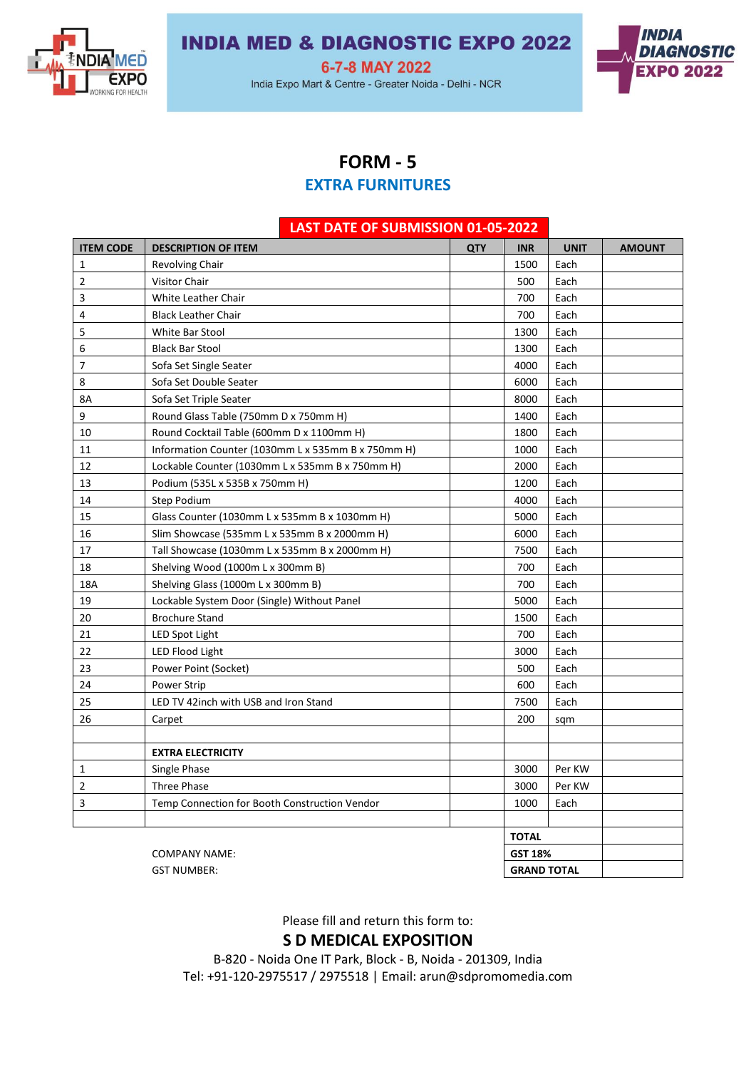

# **INDIA MED & DIAGNOSTIC EXPO 2022**

6-7-8 MAY 2022

India Expo Mart & Centre - Greater Noida - Delhi - NCR



#### **FORM - 5**

## **EXTRA FURNITURES**

|                  | LAST DATE OF SUBMISSION 01-05-2022                 |                |                    |             |               |
|------------------|----------------------------------------------------|----------------|--------------------|-------------|---------------|
| <b>ITEM CODE</b> | <b>DESCRIPTION OF ITEM</b>                         | <b>QTY</b>     | <b>INR</b>         | <b>UNIT</b> | <b>AMOUNT</b> |
| 1                | <b>Revolving Chair</b>                             |                | 1500               | Each        |               |
| $\overline{2}$   | Visitor Chair                                      |                | 500                | Each        |               |
| 3                | White Leather Chair                                |                | 700                | Each        |               |
| 4                | <b>Black Leather Chair</b>                         |                | 700                | Each        |               |
| 5                | White Bar Stool                                    |                | 1300               | Each        |               |
| 6                | <b>Black Bar Stool</b>                             |                | 1300               | Each        |               |
| 7                | Sofa Set Single Seater                             |                | 4000               | Each        |               |
| 8                | Sofa Set Double Seater                             |                | 6000               | Each        |               |
| 8A               | Sofa Set Triple Seater                             |                | 8000               | Each        |               |
| 9                | Round Glass Table (750mm D x 750mm H)              |                | 1400               | Each        |               |
| 10               | Round Cocktail Table (600mm D x 1100mm H)          |                | 1800               | Each        |               |
| 11               | Information Counter (1030mm L x 535mm B x 750mm H) |                | 1000               | Each        |               |
| 12               | Lockable Counter (1030mm L x 535mm B x 750mm H)    |                | 2000               | Each        |               |
| 13               | Podium (535L x 535B x 750mm H)                     |                | 1200               | Each        |               |
| 14               | Step Podium                                        |                | 4000               | Each        |               |
| 15               | Glass Counter (1030mm L x 535mm B x 1030mm H)      |                | 5000               | Each        |               |
| 16               | Slim Showcase (535mm L x 535mm B x 2000mm H)       |                | 6000               | Each        |               |
| 17               | Tall Showcase (1030mm L x 535mm B x 2000mm H)      |                | 7500               | Each        |               |
| 18               | Shelving Wood (1000m L x 300mm B)                  |                | 700                | Each        |               |
| 18A              | Shelving Glass (1000m L x 300mm B)                 |                | 700                | Each        |               |
| 19               | Lockable System Door (Single) Without Panel        |                | 5000               | Each        |               |
| 20               | <b>Brochure Stand</b>                              |                | 1500               | Each        |               |
| 21               | LED Spot Light                                     |                | 700                | Each        |               |
| 22               | LED Flood Light                                    |                | 3000               | Each        |               |
| 23               | Power Point (Socket)                               |                | 500                | Each        |               |
| 24               | <b>Power Strip</b>                                 |                | 600                | Each        |               |
| 25               | LED TV 42inch with USB and Iron Stand              |                | 7500               | Each        |               |
| 26               | Carpet                                             |                | 200                | sqm         |               |
|                  |                                                    |                |                    |             |               |
|                  | <b>EXTRA ELECTRICITY</b>                           |                |                    |             |               |
| 1                | Single Phase                                       |                | 3000               | Per KW      |               |
| $\overline{2}$   | Three Phase                                        |                | 3000               | Per KW      |               |
| 3                | Temp Connection for Booth Construction Vendor      |                | 1000               | Each        |               |
|                  |                                                    |                |                    |             |               |
|                  |                                                    | <b>TOTAL</b>   |                    |             |               |
|                  | <b>COMPANY NAME:</b>                               | <b>GST 18%</b> |                    |             |               |
|                  | <b>GST NUMBER:</b>                                 |                | <b>GRAND TOTAL</b> |             |               |

Please fill and return this form to: **S D MEDICAL EXPOSITION**

B-820 - Noida One IT Park, Block - B, Noida - 201309, India Tel: +91-120-2975517 / 2975518 | Email: arun@sdpromomedia.com